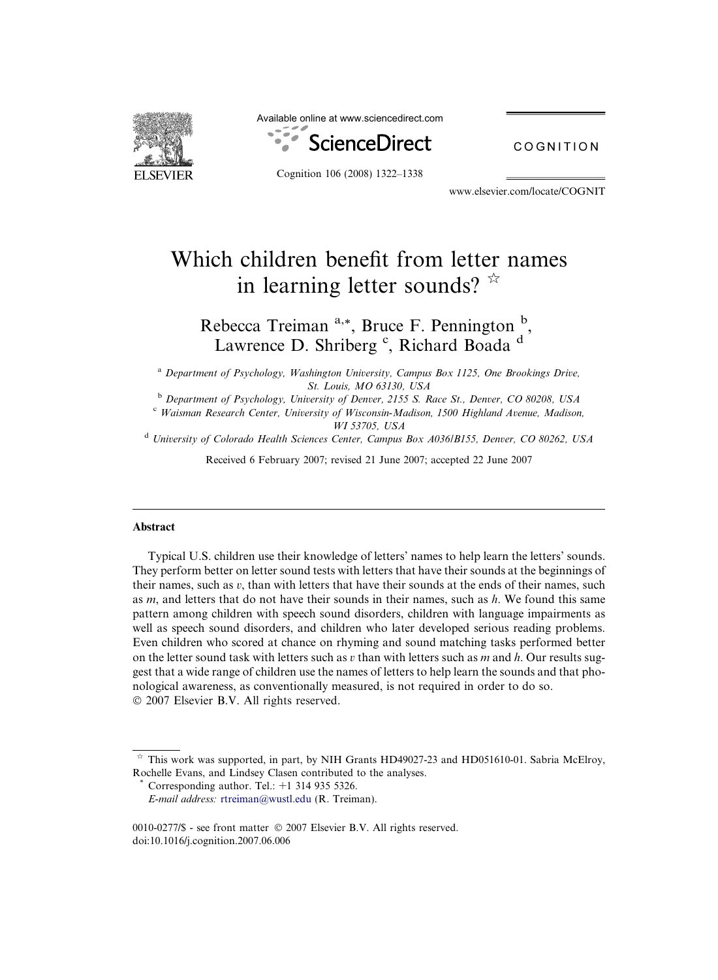

Available online at www.sciencedirect.com



Cognition 106 (2008) 1322–1338

COGNITION

www.elsevier.com/locate/COGNIT

# Which children benefit from letter names in learning letter sounds?  $\dot{\alpha}$

Rebecca Treiman <sup>a,\*</sup>, Bruce F. Pennington <sup>b</sup>, Lawrence D. Shriberg<sup>c</sup>, Richard Boada<sup>d</sup>

 $a$  Department of Psychology, Washington University, Campus Box 1125, One Brookings Drive, St. Louis, MO 63130, USA

<sup>b</sup> Department of Psychology, University of Denver, 2155 S. Race St., Denver, CO 80208, USA <sup>c</sup> Waisman Research Center, University of Wisconsin-Madison, 1500 Highland Avenue, Madison,

WI 53705, USA

<sup>d</sup> University of Colorado Health Sciences Center, Campus Box A036/B155, Denver, CO 80262, USA

Received 6 February 2007; revised 21 June 2007; accepted 22 June 2007

#### **Abstract**

Typical U.S. children use their knowledge of letters' names to help learn the letters' sounds. They perform better on letter sound tests with letters that have their sounds at the beginnings of their names, such as  $v$ , than with letters that have their sounds at the ends of their names, such as  $m$ , and letters that do not have their sounds in their names, such as  $h$ . We found this same pattern among children with speech sound disorders, children with language impairments as well as speech sound disorders, and children who later developed serious reading problems. Even children who scored at chance on rhyming and sound matching tasks performed better on the letter sound task with letters such as v than with letters such as m and h. Our results suggest that a wide range of children use the names of letters to help learn the sounds and that phonological awareness, as conventionally measured, is not required in order to do so. © 2007 Elsevier B.V. All rights reserved.

This work was supported, in part, by NIH Grants HD49027-23 and HD051610-01. Sabria McElroy, Rochelle Evans, and Lindsey Clasen contributed to the analyses.

Corresponding author. Tel.:  $+1$  314 935 5326. E-mail address: [rtreiman@wustl.edu](mailto:rtreiman@wustl.edu) (R. Treiman).

<sup>0010-0277/\$ -</sup> see front matter © 2007 Elsevier B.V. All rights reserved. doi:10.1016/j.cognition.2007.06.006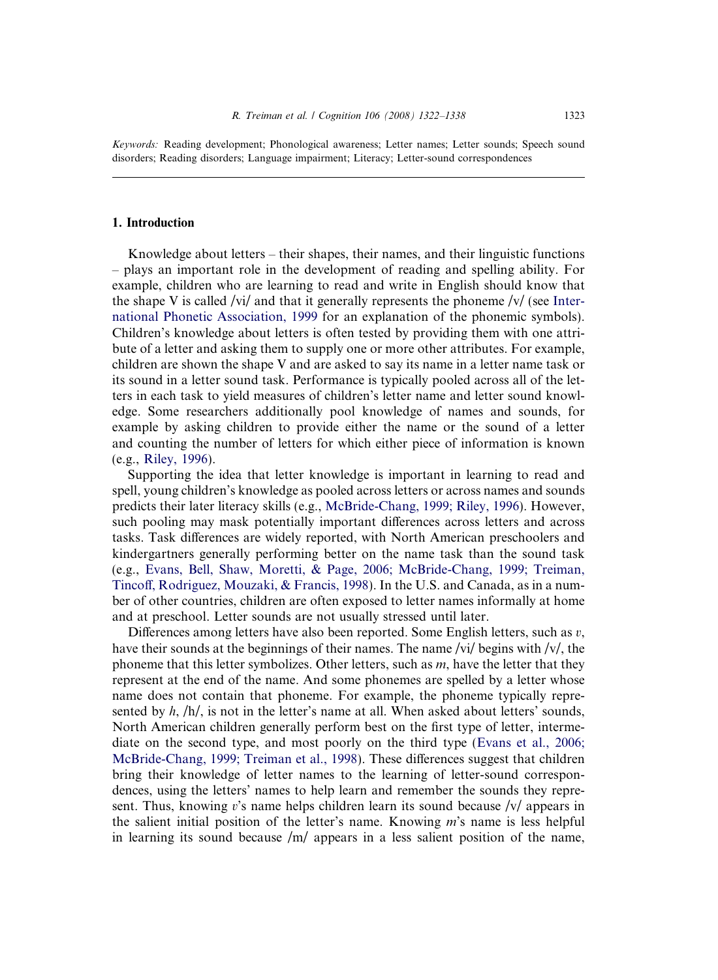Keywords: Reading development; Phonological awareness; Letter names; Letter sounds; Speech sound disorders; Reading disorders; Language impairment; Literacy; Letter-sound correspondences

### 1. Introduction

Knowledge about letters – their shapes, their names, and their linguistic functions – plays an important role in the development of reading and spelling ability. For example, children who are learning to read and write in English should know that the shape V is called /vi/ and that it generally represents the phoneme /v/ (see [Inter](#page-15-0)[national Phonetic Association, 1999](#page-15-0) for an explanation of the phonemic symbols). Children's knowledge about letters is often tested by providing them with one attribute of a letter and asking them to supply one or more other attributes. For example, children are shown the shape V and are asked to say its name in a letter name task or its sound in a letter sound task. Performance is typically pooled across all of the letters in each task to yield measures of children's letter name and letter sound knowledge. Some researchers additionally pool knowledge of names and sounds, for example by asking children to provide either the name or the sound of a letter and counting the number of letters for which either piece of information is known (e.g., [Riley, 1996\)](#page-15-0).

Supporting the idea that letter knowledge is important in learning to read and spell, young children's knowledge as pooled across letters or across names and sounds predicts their later literacy skills (e.g., [McBride-Chang, 1999; Riley, 1996\)](#page-15-0). However, such pooling may mask potentially important differences across letters and across tasks. Task differences are widely reported, with North American preschoolers and kindergartners generally performing better on the name task than the sound task (e.g., [Evans, Bell, Shaw, Moretti, & Page, 2006; McBride-Chang, 1999; Treiman,](#page-15-0) [Tincoff, Rodriguez, Mouzaki, & Francis, 1998\)](#page-15-0). In the U.S. and Canada, as in a number of other countries, children are often exposed to letter names informally at home and at preschool. Letter sounds are not usually stressed until later.

Differences among letters have also been reported. Some English letters, such as  $v$ , have their sounds at the beginnings of their names. The name /vi/ begins with /v/, the phoneme that this letter symbolizes. Other letters, such as  $m$ , have the letter that they represent at the end of the name. And some phonemes are spelled by a letter whose name does not contain that phoneme. For example, the phoneme typically represented by  $h$ ,  $/h/$ , is not in the letter's name at all. When asked about letters' sounds, North American children generally perform best on the first type of letter, intermediate on the second type, and most poorly on the third type ([Evans et al., 2006;](#page-15-0) [McBride-Chang, 1999; Treiman et al., 1998](#page-15-0)). These differences suggest that children bring their knowledge of letter names to the learning of letter-sound correspondences, using the letters' names to help learn and remember the sounds they represent. Thus, knowing v's name helps children learn its sound because  $\sqrt{v}$  appears in the salient initial position of the letter's name. Knowing  $m$ 's name is less helpful in learning its sound because  $/m/$  appears in a less salient position of the name,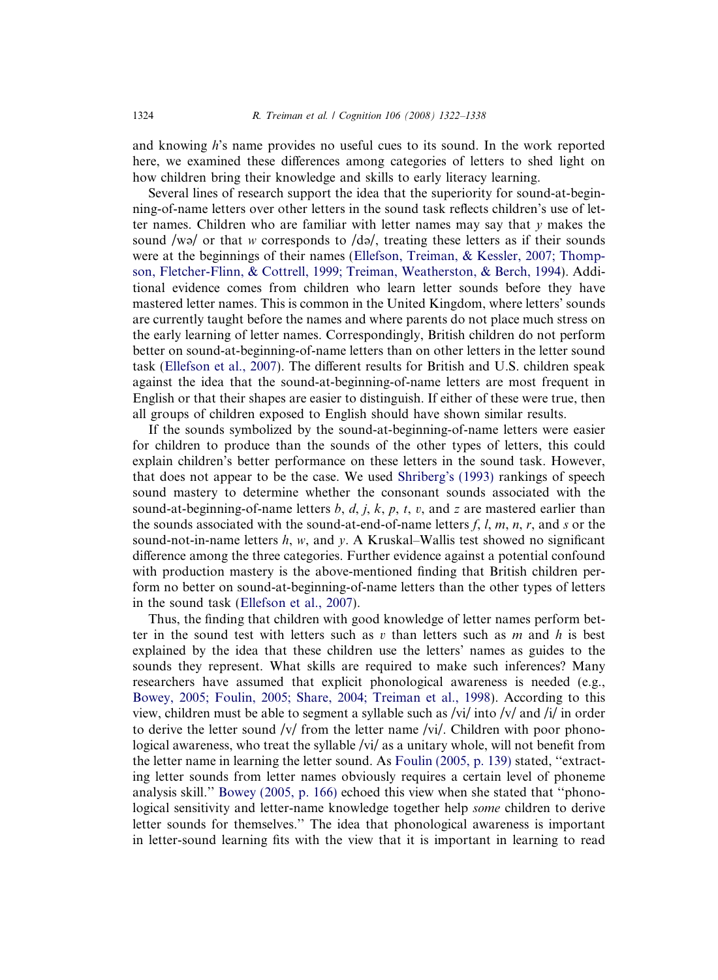and knowing h's name provides no useful cues to its sound. In the work reported here, we examined these differences among categories of letters to shed light on how children bring their knowledge and skills to early literacy learning.

Several lines of research support the idea that the superiority for sound-at-beginning-of-name letters over other letters in the sound task reflects children's use of letter names. Children who are familiar with letter names may say that  $\nu$  makes the sound /wə/ or that w corresponds to /də/, treating these letters as if their sounds were at the beginnings of their names [\(Ellefson, Treiman, & Kessler, 2007; Thomp](#page-15-0)[son, Fletcher-Flinn, & Cottrell, 1999; Treiman, Weatherston, & Berch, 1994\)](#page-15-0). Additional evidence comes from children who learn letter sounds before they have mastered letter names. This is common in the United Kingdom, where letters' sounds are currently taught before the names and where parents do not place much stress on the early learning of letter names. Correspondingly, British children do not perform better on sound-at-beginning-of-name letters than on other letters in the letter sound task ([Ellefson et al., 2007\)](#page-15-0). The different results for British and U.S. children speak against the idea that the sound-at-beginning-of-name letters are most frequent in English or that their shapes are easier to distinguish. If either of these were true, then all groups of children exposed to English should have shown similar results.

If the sounds symbolized by the sound-at-beginning-of-name letters were easier for children to produce than the sounds of the other types of letters, this could explain children's better performance on these letters in the sound task. However, that does not appear to be the case. We used [Shriberg's \(1993\)](#page-15-0) rankings of speech sound mastery to determine whether the consonant sounds associated with the sound-at-beginning-of-name letters b, d, j, k, p, t, v, and z are mastered earlier than the sounds associated with the sound-at-end-of-name letters  $f, l, m, n, r$ , and s or the sound-not-in-name letters  $h$ ,  $w$ , and  $y$ . A Kruskal–Wallis test showed no significant difference among the three categories. Further evidence against a potential confound with production mastery is the above-mentioned finding that British children perform no better on sound-at-beginning-of-name letters than the other types of letters in the sound task [\(Ellefson et al., 2007](#page-15-0)).

Thus, the finding that children with good knowledge of letter names perform better in the sound test with letters such as v than letters such as m and h is best explained by the idea that these children use the letters' names as guides to the sounds they represent. What skills are required to make such inferences? Many researchers have assumed that explicit phonological awareness is needed (e.g., [Bowey, 2005; Foulin, 2005; Share, 2004; Treiman et al., 1998](#page-15-0)). According to this view, children must be able to segment a syllable such as /vi/ into /v/ and /i/ in order to derive the letter sound  $\sqrt{v}$  from the letter name  $\sqrt{vi}$ . Children with poor phonological awareness, who treat the syllable /vi/ as a unitary whole, will not benefit from the letter name in learning the letter sound. As [Foulin \(2005, p. 139\)](#page-15-0) stated, ''extracting letter sounds from letter names obviously requires a certain level of phoneme analysis skill.'' [Bowey \(2005, p. 166\)](#page-15-0) echoed this view when she stated that ''phonological sensitivity and letter-name knowledge together help some children to derive letter sounds for themselves.'' The idea that phonological awareness is important in letter-sound learning fits with the view that it is important in learning to read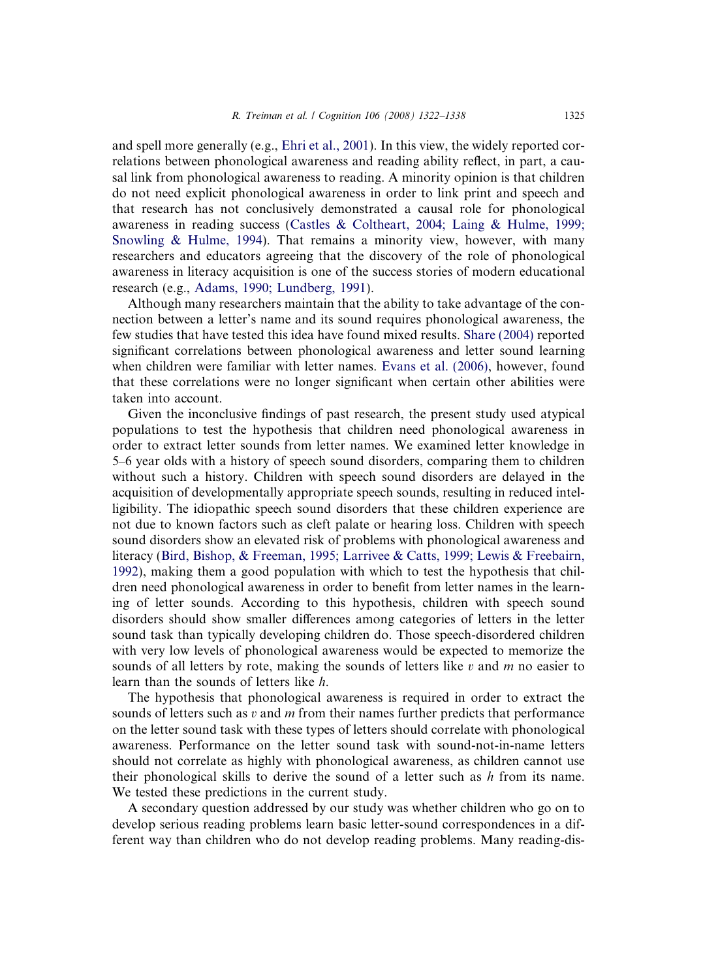and spell more generally (e.g., [Ehri et al., 2001](#page-15-0)). In this view, the widely reported correlations between phonological awareness and reading ability reflect, in part, a causal link from phonological awareness to reading. A minority opinion is that children do not need explicit phonological awareness in order to link print and speech and that research has not conclusively demonstrated a causal role for phonological awareness in reading success [\(Castles & Coltheart, 2004; Laing & Hulme, 1999;](#page-15-0) Snowling  $\&$  Hulme, 1994). That remains a minority view, however, with many researchers and educators agreeing that the discovery of the role of phonological awareness in literacy acquisition is one of the success stories of modern educational research (e.g., [Adams, 1990; Lundberg, 1991\)](#page-14-0).

Although many researchers maintain that the ability to take advantage of the connection between a letter's name and its sound requires phonological awareness, the few studies that have tested this idea have found mixed results. [Share \(2004\)](#page-15-0) reported significant correlations between phonological awareness and letter sound learning when children were familiar with letter names. [Evans et al. \(2006\)](#page-15-0), however, found that these correlations were no longer significant when certain other abilities were taken into account.

Given the inconclusive findings of past research, the present study used atypical populations to test the hypothesis that children need phonological awareness in order to extract letter sounds from letter names. We examined letter knowledge in 5–6 year olds with a history of speech sound disorders, comparing them to children without such a history. Children with speech sound disorders are delayed in the acquisition of developmentally appropriate speech sounds, resulting in reduced intelligibility. The idiopathic speech sound disorders that these children experience are not due to known factors such as cleft palate or hearing loss. Children with speech sound disorders show an elevated risk of problems with phonological awareness and literacy [\(Bird, Bishop, & Freeman, 1995; Larrivee & Catts, 1999; Lewis & Freebairn,](#page-14-0) [1992\)](#page-14-0), making them a good population with which to test the hypothesis that children need phonological awareness in order to benefit from letter names in the learning of letter sounds. According to this hypothesis, children with speech sound disorders should show smaller differences among categories of letters in the letter sound task than typically developing children do. Those speech-disordered children with very low levels of phonological awareness would be expected to memorize the sounds of all letters by rote, making the sounds of letters like v and m no easier to learn than the sounds of letters like h.

The hypothesis that phonological awareness is required in order to extract the sounds of letters such as  $v$  and  $m$  from their names further predicts that performance on the letter sound task with these types of letters should correlate with phonological awareness. Performance on the letter sound task with sound-not-in-name letters should not correlate as highly with phonological awareness, as children cannot use their phonological skills to derive the sound of a letter such as  $h$  from its name. We tested these predictions in the current study.

A secondary question addressed by our study was whether children who go on to develop serious reading problems learn basic letter-sound correspondences in a different way than children who do not develop reading problems. Many reading-dis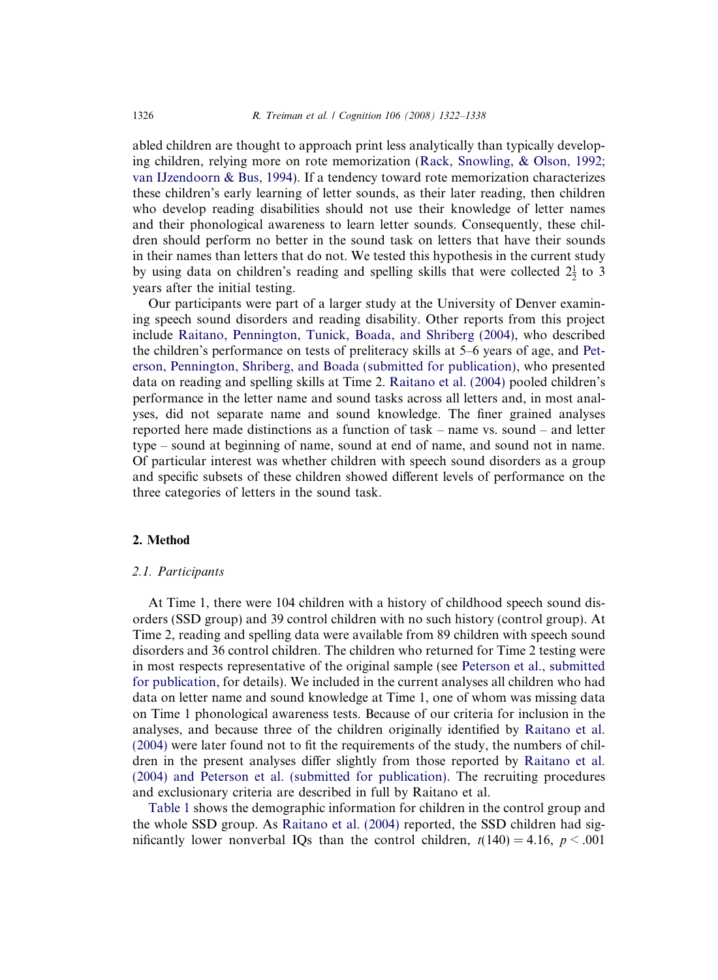abled children are thought to approach print less analytically than typically developing children, relying more on rote memorization ([Rack, Snowling, & Olson, 1992;](#page-15-0) [van IJzendoorn & Bus, 1994\)](#page-15-0). If a tendency toward rote memorization characterizes these children's early learning of letter sounds, as their later reading, then children who develop reading disabilities should not use their knowledge of letter names and their phonological awareness to learn letter sounds. Consequently, these children should perform no better in the sound task on letters that have their sounds in their names than letters that do not. We tested this hypothesis in the current study by using data on children's reading and spelling skills that were collected  $2\frac{1}{2}$  to 3 years after the initial testing.

Our participants were part of a larger study at the University of Denver examining speech sound disorders and reading disability. Other reports from this project include [Raitano, Pennington, Tunick, Boada, and Shriberg \(2004\)](#page-15-0), who described the children's performance on tests of preliteracy skills at 5–6 years of age, and [Pet](#page-15-0)[erson, Pennington, Shriberg, and Boada \(submitted for publication\),](#page-15-0) who presented data on reading and spelling skills at Time 2. [Raitano et al. \(2004\)](#page-15-0) pooled children's performance in the letter name and sound tasks across all letters and, in most analyses, did not separate name and sound knowledge. The finer grained analyses reported here made distinctions as a function of task – name vs. sound – and letter type – sound at beginning of name, sound at end of name, and sound not in name. Of particular interest was whether children with speech sound disorders as a group and specific subsets of these children showed different levels of performance on the three categories of letters in the sound task.

# 2. Method

#### 2.1. Participants

At Time 1, there were 104 children with a history of childhood speech sound disorders (SSD group) and 39 control children with no such history (control group). At Time 2, reading and spelling data were available from 89 children with speech sound disorders and 36 control children. The children who returned for Time 2 testing were in most respects representative of the original sample (see [Peterson et al., submitted](#page-15-0) [for publication](#page-15-0), for details). We included in the current analyses all children who had data on letter name and sound knowledge at Time 1, one of whom was missing data on Time 1 phonological awareness tests. Because of our criteria for inclusion in the analyses, and because three of the children originally identified by [Raitano et al.](#page-15-0) [\(2004\)](#page-15-0) were later found not to fit the requirements of the study, the numbers of children in the present analyses differ slightly from those reported by [Raitano et al.](#page-15-0) [\(2004\) and Peterson et al. \(submitted for publication\).](#page-15-0) The recruiting procedures and exclusionary criteria are described in full by Raitano et al.

[Table 1](#page-5-0) shows the demographic information for children in the control group and the whole SSD group. As [Raitano et al. \(2004\)](#page-15-0) reported, the SSD children had significantly lower nonverbal IQs than the control children,  $t(140) = 4.16$ ,  $p < .001$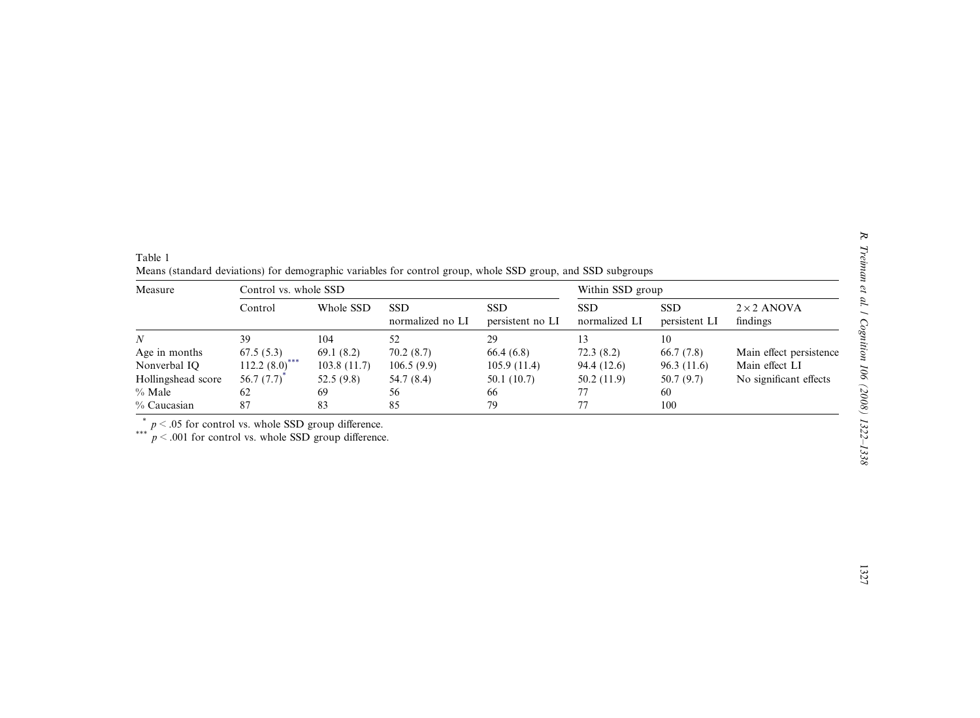<span id="page-5-0"></span>Table 1 Means (standard deviations) for demographic variables for control group, whole SSD group, and SSD subgroups

| Measure            | Control vs. whole SSD |             |                                |                                | Within SSD group            |                             |                                |
|--------------------|-----------------------|-------------|--------------------------------|--------------------------------|-----------------------------|-----------------------------|--------------------------------|
|                    | Control               | Whole SSD   | <b>SSD</b><br>normalized no LI | <b>SSD</b><br>persistent no LI | <b>SSD</b><br>normalized LI | <b>SSD</b><br>persistent LI | $2 \times 2$ ANOVA<br>findings |
| N                  | 39                    | 104         | 52                             | 29                             |                             | 10                          |                                |
| Age in months      | 67.5(5.3)             | 69.1(8.2)   | 70.2(8.7)                      | 66.4(6.8)                      | 72.3(8.2)                   | 66.7(7.8)                   | Main effect persistence        |
| Nonverbal IQ       | $112.2(8.0)$ ***      | 103.8(11.7) | 106.5(9.9)                     | 105.9(11.4)                    | 94.4 (12.6)                 | 96.3(11.6)                  | Main effect LI                 |
| Hollingshead score | 56.7(7.7)             | 52.5(9.8)   | 54.7 (8.4)                     | 50.1(10.7)                     | 50.2(11.9)                  | 50.7(9.7)                   | No significant effects         |
| $%$ Male           | 62                    | 69          | 56                             | 66                             |                             | 60                          |                                |
| % Caucasian        | 87                    | 83          | 85                             | 79                             |                             | 100                         |                                |

\*  $p < .05$  for control vs. whole SSD group difference.<br>\*\*\*  $p < .001$  for control vs. whole SSD group difference.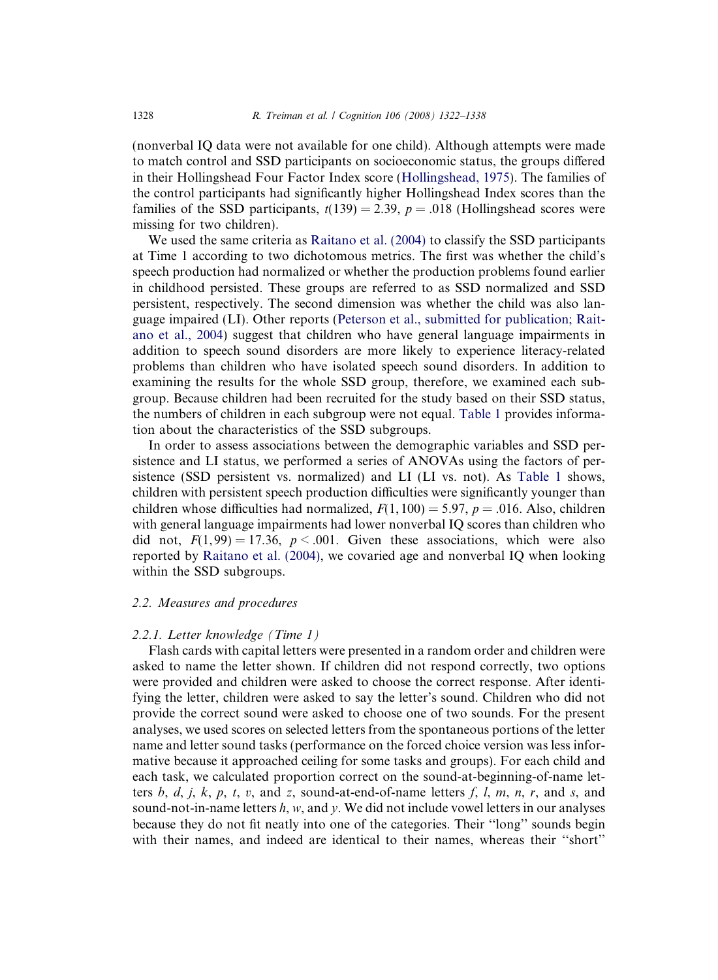(nonverbal IQ data were not available for one child). Although attempts were made to match control and SSD participants on socioeconomic status, the groups differed in their Hollingshead Four Factor Index score [\(Hollingshead, 1975\)](#page-15-0). The families of the control participants had significantly higher Hollingshead Index scores than the families of the SSD participants,  $t(139) = 2.39$ ,  $p = .018$  (Hollingshead scores were missing for two children).

We used the same criteria as [Raitano et al. \(2004\)](#page-15-0) to classify the SSD participants at Time 1 according to two dichotomous metrics. The first was whether the child's speech production had normalized or whether the production problems found earlier in childhood persisted. These groups are referred to as SSD normalized and SSD persistent, respectively. The second dimension was whether the child was also language impaired (LI). Other reports ([Peterson et al., submitted for publication; Rait](#page-15-0)[ano et al., 2004](#page-15-0)) suggest that children who have general language impairments in addition to speech sound disorders are more likely to experience literacy-related problems than children who have isolated speech sound disorders. In addition to examining the results for the whole SSD group, therefore, we examined each subgroup. Because children had been recruited for the study based on their SSD status, the numbers of children in each subgroup were not equal. [Table 1](#page-5-0) provides information about the characteristics of the SSD subgroups.

In order to assess associations between the demographic variables and SSD persistence and LI status, we performed a series of ANOVAs using the factors of persistence (SSD persistent vs. normalized) and LI (LI vs. not). As [Table 1](#page-5-0) shows, children with persistent speech production difficulties were significantly younger than children whose difficulties had normalized,  $F(1, 100) = 5.97$ ,  $p = .016$ . Also, children with general language impairments had lower nonverbal IQ scores than children who did not,  $F(1, 99) = 17.36$ ,  $p < .001$ . Given these associations, which were also reported by [Raitano et al. \(2004\),](#page-15-0) we covaried age and nonverbal IQ when looking within the SSD subgroups.

## 2.2. Measures and procedures

# 2.2.1. Letter knowledge (Time 1)

Flash cards with capital letters were presented in a random order and children were asked to name the letter shown. If children did not respond correctly, two options were provided and children were asked to choose the correct response. After identifying the letter, children were asked to say the letter's sound. Children who did not provide the correct sound were asked to choose one of two sounds. For the present analyses, we used scores on selected letters from the spontaneous portions of the letter name and letter sound tasks (performance on the forced choice version was less informative because it approached ceiling for some tasks and groups). For each child and each task, we calculated proportion correct on the sound-at-beginning-of-name letters b, d, j, k, p, t, v, and z, sound-at-end-of-name letters f, l, m, n, r, and s, and sound-not-in-name letters  $h$ ,  $w$ , and  $y$ . We did not include vowel letters in our analyses because they do not fit neatly into one of the categories. Their ''long'' sounds begin with their names, and indeed are identical to their names, whereas their ''short''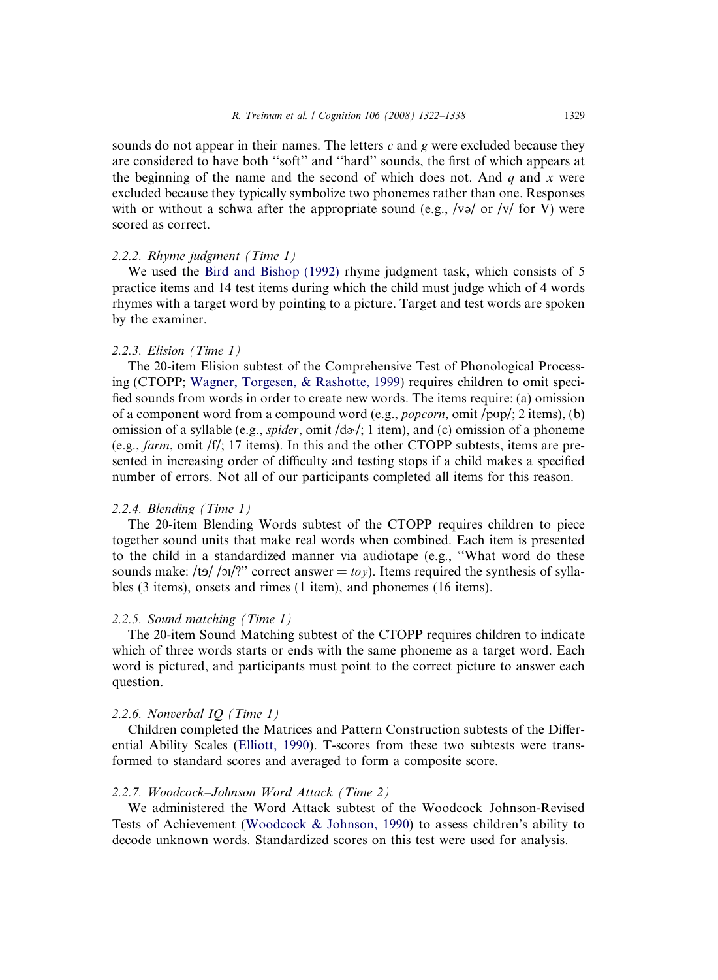sounds do not appear in their names. The letters c and g were excluded because they are considered to have both ''soft'' and ''hard'' sounds, the first of which appears at the beginning of the name and the second of which does not. And  $q$  and x were excluded because they typically symbolize two phonemes rather than one. Responses with or without a schwa after the appropriate sound (e.g., /v $\frac{1}{2}$ / or /v/ for V) were scored as correct.

### 2.2.2. Rhyme judgment (Time 1)

We used the [Bird and Bishop \(1992\)](#page-14-0) rhyme judgment task, which consists of 5 practice items and 14 test items during which the child must judge which of 4 words rhymes with a target word by pointing to a picture. Target and test words are spoken by the examiner.

#### 2.2.3. Elision (Time 1)

The 20-item Elision subtest of the Comprehensive Test of Phonological Processing (CTOPP; [Wagner, Torgesen, & Rashotte, 1999\)](#page-16-0) requires children to omit specified sounds from words in order to create new words. The items require: (a) omission of a component word from a compound word (e.g., *popcorn*, omit /pap/; 2 items), (b) omission of a syllable (e.g., *spider*, omit  $\langle d\phi/2 \rangle$ ; 1 item), and (c) omission of a phoneme (e.g., *farm*, omit  $f(x)$ ; 17 items). In this and the other CTOPP subtests, items are presented in increasing order of difficulty and testing stops if a child makes a specified number of errors. Not all of our participants completed all items for this reason.

#### 2.2.4. Blending (Time 1)

The 20-item Blending Words subtest of the CTOPP requires children to piece together sound units that make real words when combined. Each item is presented to the child in a standardized manner via audiotape (e.g., ''What word do these sounds make:  $/t\frac{9}{21}$ ?" correct answer = toy). Items required the synthesis of syllables (3 items), onsets and rimes (1 item), and phonemes (16 items).

## 2.2.5. Sound matching (Time 1)

The 20-item Sound Matching subtest of the CTOPP requires children to indicate which of three words starts or ends with the same phoneme as a target word. Each word is pictured, and participants must point to the correct picture to answer each question.

### 2.2.6. Nonverbal IQ (Time 1)

Children completed the Matrices and Pattern Construction subtests of the Differential Ability Scales ([Elliott, 1990\)](#page-15-0). T-scores from these two subtests were transformed to standard scores and averaged to form a composite score.

#### 2.2.7. Woodcock–Johnson Word Attack (Time 2)

We administered the Word Attack subtest of the Woodcock–Johnson-Revised Tests of Achievement [\(Woodcock & Johnson, 1990](#page-16-0)) to assess children's ability to decode unknown words. Standardized scores on this test were used for analysis.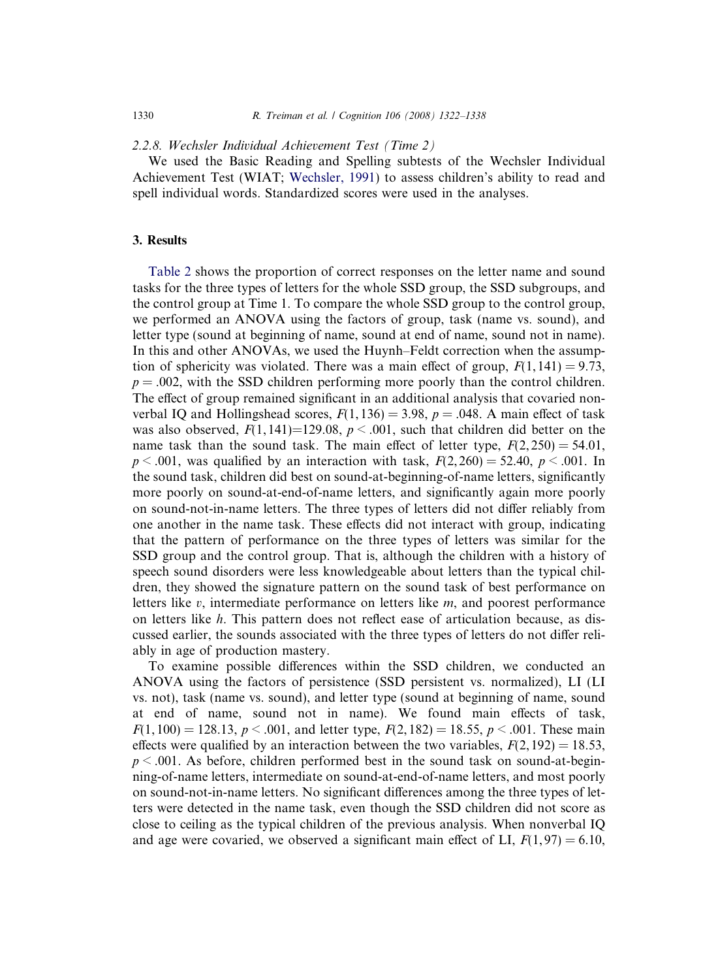#### 2.2.8. Wechsler Individual Achievement Test (Time 2)

We used the Basic Reading and Spelling subtests of the Wechsler Individual Achievement Test (WIAT; [Wechsler, 1991\)](#page-16-0) to assess children's ability to read and spell individual words. Standardized scores were used in the analyses.

### 3. Results

[Table 2](#page-9-0) shows the proportion of correct responses on the letter name and sound tasks for the three types of letters for the whole SSD group, the SSD subgroups, and the control group at Time 1. To compare the whole SSD group to the control group, we performed an ANOVA using the factors of group, task (name vs. sound), and letter type (sound at beginning of name, sound at end of name, sound not in name). In this and other ANOVAs, we used the Huynh–Feldt correction when the assumption of sphericity was violated. There was a main effect of group,  $F(1, 141) = 9.73$ ,  $p = .002$ , with the SSD children performing more poorly than the control children. The effect of group remained significant in an additional analysis that covaried nonverbal IQ and Hollingshead scores,  $F(1, 136) = 3.98$ ,  $p = .048$ . A main effect of task was also observed,  $F(1, 141)=129.08$ ,  $p < .001$ , such that children did better on the name task than the sound task. The main effect of letter type,  $F(2, 250) = 54.01$ ,  $p < .001$ , was qualified by an interaction with task,  $F(2, 260) = 52.40$ ,  $p < .001$ . In the sound task, children did best on sound-at-beginning-of-name letters, significantly more poorly on sound-at-end-of-name letters, and significantly again more poorly on sound-not-in-name letters. The three types of letters did not differ reliably from one another in the name task. These effects did not interact with group, indicating that the pattern of performance on the three types of letters was similar for the SSD group and the control group. That is, although the children with a history of speech sound disorders were less knowledgeable about letters than the typical children, they showed the signature pattern on the sound task of best performance on letters like  $v$ , intermediate performance on letters like  $m$ , and poorest performance on letters like h. This pattern does not reflect ease of articulation because, as discussed earlier, the sounds associated with the three types of letters do not differ reliably in age of production mastery.

To examine possible differences within the SSD children, we conducted an ANOVA using the factors of persistence (SSD persistent vs. normalized), LI (LI vs. not), task (name vs. sound), and letter type (sound at beginning of name, sound at end of name, sound not in name). We found main effects of task,  $F(1, 100) = 128.13, p < .001$ , and letter type,  $F(2, 182) = 18.55, p < .001$ . These main effects were qualified by an interaction between the two variables,  $F(2, 192) = 18.53$ ,  $p < .001$ . As before, children performed best in the sound task on sound-at-beginning-of-name letters, intermediate on sound-at-end-of-name letters, and most poorly on sound-not-in-name letters. No significant differences among the three types of letters were detected in the name task, even though the SSD children did not score as close to ceiling as the typical children of the previous analysis. When nonverbal IQ and age were covaried, we observed a significant main effect of LI,  $F(1, 97) = 6.10$ ,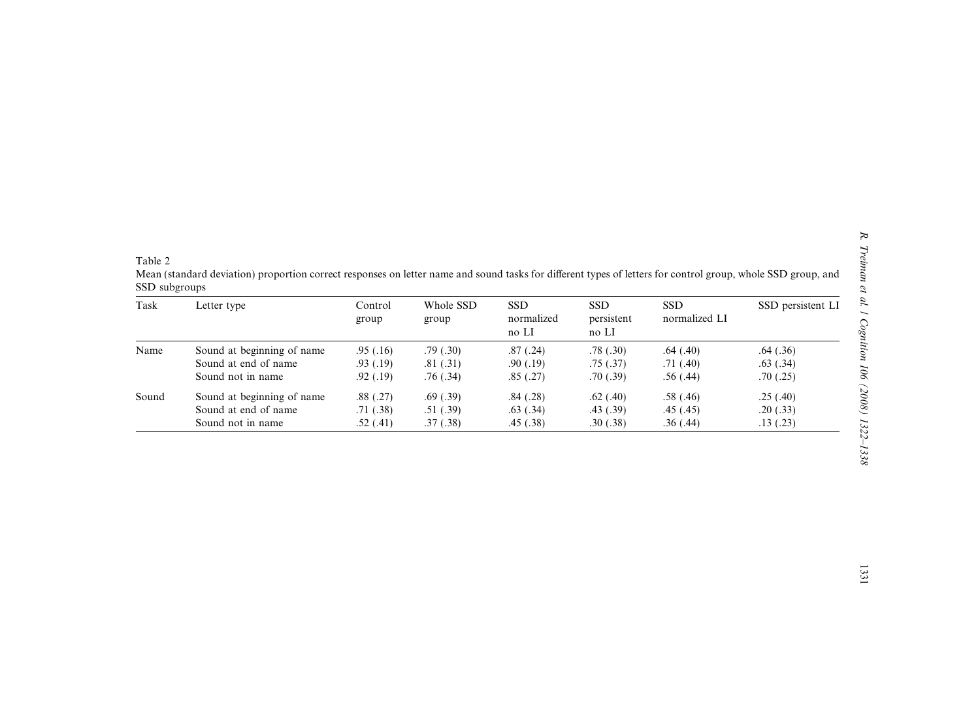<span id="page-9-0"></span>Table 2

Mean (standard deviation) proportion correct responses on letter name and sound tasks for different types of letters for control group, whole SSD group, and SSD subgroups

| Task  | Letter type                | Control<br>group | Whole SSD<br>group | <b>SSD</b><br>normalized<br>no LI | SSD.<br>persistent<br>no LI | <b>SSD</b><br>normalized LI | SSD persistent LI |
|-------|----------------------------|------------------|--------------------|-----------------------------------|-----------------------------|-----------------------------|-------------------|
| Name  | Sound at beginning of name | .95(0.16)        | .79(0.30)          | .87(.24)                          | .78(.30)                    | .64(.40)                    | .64(0.36)         |
|       | Sound at end of name       | .93(0.19)        | .81(.31)           | .90(0.19)                         | .75(.37)                    | .71(.40)                    | .63(0.34)         |
|       | Sound not in name          | .92(0.19)        | .76(.34)           | .85(.27)                          | .70(0.39)                   | .56(0.44)                   | .70(.25)          |
| Sound | Sound at beginning of name | .88(.27)         | .69(0.39)          | .84(.28)                          | .62(.40)                    | .58(.46)                    | .25(.40)          |
|       | Sound at end of name       | .71(0.38)        | .51(0.39)          | .63(0.34)                         | .43(.39)                    | .45(0.45)                   | .20(.33)          |
|       | Sound not in name          | .52(.41)         | .37(0.38)          | .45(.38)                          | .30(.38)                    | .36(.44)                    | .13(.23)          |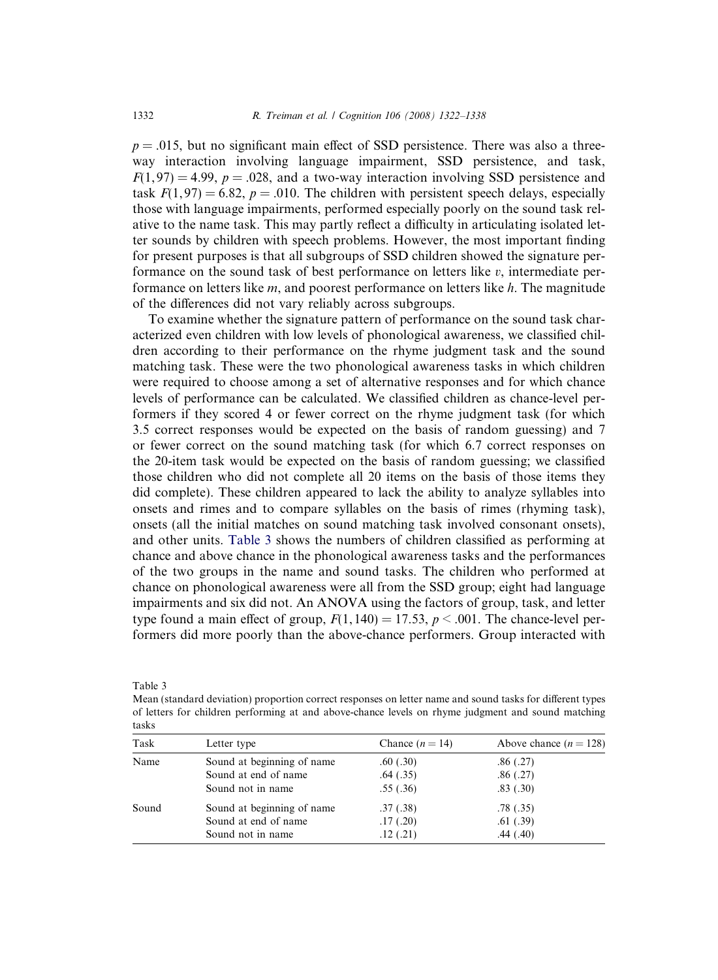$p = .015$ , but no significant main effect of SSD persistence. There was also a threeway interaction involving language impairment, SSD persistence, and task,  $F(1, 97) = 4.99$ ,  $p = .028$ , and a two-way interaction involving SSD persistence and task  $F(1, 97) = 6.82$ ,  $p = .010$ . The children with persistent speech delays, especially those with language impairments, performed especially poorly on the sound task relative to the name task. This may partly reflect a difficulty in articulating isolated letter sounds by children with speech problems. However, the most important finding for present purposes is that all subgroups of SSD children showed the signature performance on the sound task of best performance on letters like  $v$ , intermediate performance on letters like  $m$ , and poorest performance on letters like  $h$ . The magnitude of the differences did not vary reliably across subgroups.

To examine whether the signature pattern of performance on the sound task characterized even children with low levels of phonological awareness, we classified children according to their performance on the rhyme judgment task and the sound matching task. These were the two phonological awareness tasks in which children were required to choose among a set of alternative responses and for which chance levels of performance can be calculated. We classified children as chance-level performers if they scored 4 or fewer correct on the rhyme judgment task (for which 3.5 correct responses would be expected on the basis of random guessing) and 7 or fewer correct on the sound matching task (for which 6.7 correct responses on the 20-item task would be expected on the basis of random guessing; we classified those children who did not complete all 20 items on the basis of those items they did complete). These children appeared to lack the ability to analyze syllables into onsets and rimes and to compare syllables on the basis of rimes (rhyming task), onsets (all the initial matches on sound matching task involved consonant onsets), and other units. Table 3 shows the numbers of children classified as performing at chance and above chance in the phonological awareness tasks and the performances of the two groups in the name and sound tasks. The children who performed at chance on phonological awareness were all from the SSD group; eight had language impairments and six did not. An ANOVA using the factors of group, task, and letter type found a main effect of group,  $F(1, 140) = 17.53$ ,  $p < .001$ . The chance-level performers did more poorly than the above-chance performers. Group interacted with

| tasks |                            |                   |                          |  |  |
|-------|----------------------------|-------------------|--------------------------|--|--|
| Task  | Letter type                | Chance $(n = 14)$ | Above chance $(n = 128)$ |  |  |
| Name  | Sound at beginning of name | .60(.30)          | .86(.27)                 |  |  |
|       | Sound at end of name       | .64(0.35)         | .86(.27)                 |  |  |
| Sound | Sound not in name          | .55(.36)          | .83(.30)                 |  |  |
|       | Sound at beginning of name | .37(.38)          | .78(.35)                 |  |  |
|       | Sound at end of name       | .17(0.20)         | .61(0.39)                |  |  |
|       | Sound not in name          | .12(.21)          | .44(.40)                 |  |  |

Mean (standard deviation) proportion correct responses on letter name and sound tasks for different types of letters for children performing at and above-chance levels on rhyme judgment and sound matching

Table 3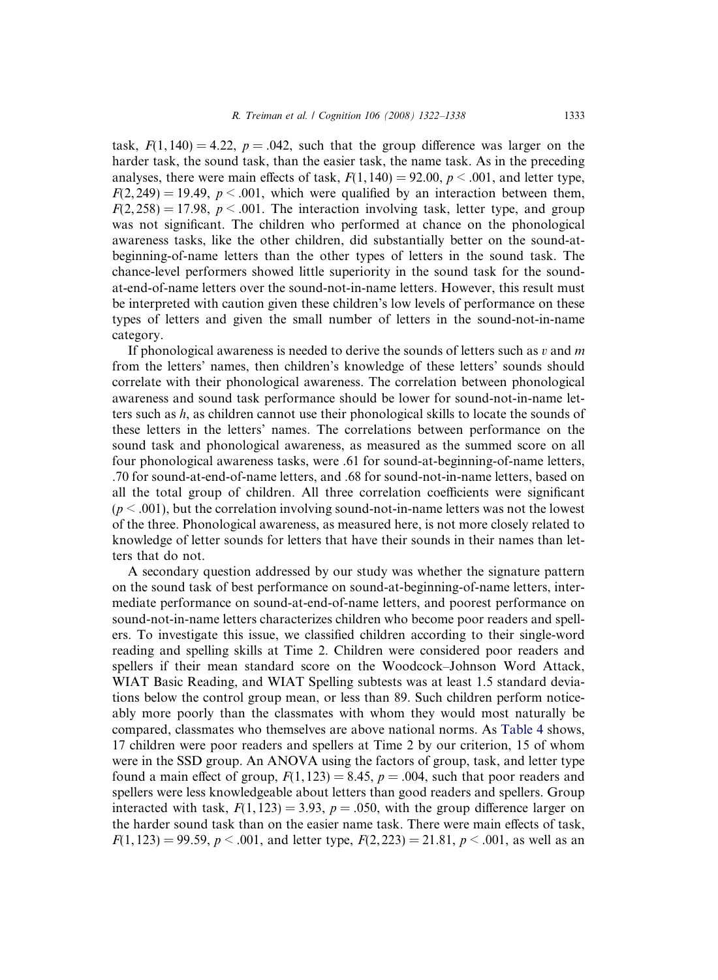task,  $F(1, 140) = 4.22$ ,  $p = .042$ , such that the group difference was larger on the harder task, the sound task, than the easier task, the name task. As in the preceding analyses, there were main effects of task,  $F(1, 140) = 92.00$ ,  $p < .001$ , and letter type,  $F(2, 249) = 19.49$ ,  $p < .001$ , which were qualified by an interaction between them,  $F(2, 258) = 17.98$ ,  $p < .001$ . The interaction involving task, letter type, and group was not significant. The children who performed at chance on the phonological awareness tasks, like the other children, did substantially better on the sound-atbeginning-of-name letters than the other types of letters in the sound task. The chance-level performers showed little superiority in the sound task for the soundat-end-of-name letters over the sound-not-in-name letters. However, this result must be interpreted with caution given these children's low levels of performance on these types of letters and given the small number of letters in the sound-not-in-name category.

If phonological awareness is needed to derive the sounds of letters such as v and m from the letters' names, then children's knowledge of these letters' sounds should correlate with their phonological awareness. The correlation between phonological awareness and sound task performance should be lower for sound-not-in-name letters such as  $h$ , as children cannot use their phonological skills to locate the sounds of these letters in the letters' names. The correlations between performance on the sound task and phonological awareness, as measured as the summed score on all four phonological awareness tasks, were .61 for sound-at-beginning-of-name letters, .70 for sound-at-end-of-name letters, and .68 for sound-not-in-name letters, based on all the total group of children. All three correlation coefficients were significant  $(p < .001)$ , but the correlation involving sound-not-in-name letters was not the lowest of the three. Phonological awareness, as measured here, is not more closely related to knowledge of letter sounds for letters that have their sounds in their names than letters that do not.

A secondary question addressed by our study was whether the signature pattern on the sound task of best performance on sound-at-beginning-of-name letters, intermediate performance on sound-at-end-of-name letters, and poorest performance on sound-not-in-name letters characterizes children who become poor readers and spellers. To investigate this issue, we classified children according to their single-word reading and spelling skills at Time 2. Children were considered poor readers and spellers if their mean standard score on the Woodcock–Johnson Word Attack, WIAT Basic Reading, and WIAT Spelling subtests was at least 1.5 standard deviations below the control group mean, or less than 89. Such children perform noticeably more poorly than the classmates with whom they would most naturally be compared, classmates who themselves are above national norms. As [Table 4](#page-12-0) shows, 17 children were poor readers and spellers at Time 2 by our criterion, 15 of whom were in the SSD group. An ANOVA using the factors of group, task, and letter type found a main effect of group,  $F(1, 123) = 8.45$ ,  $p = .004$ , such that poor readers and spellers were less knowledgeable about letters than good readers and spellers. Group interacted with task,  $F(1, 123) = 3.93$ ,  $p = .050$ , with the group difference larger on the harder sound task than on the easier name task. There were main effects of task,  $F(1, 123) = 99.59$ ,  $p < .001$ , and letter type,  $F(2, 223) = 21.81$ ,  $p < .001$ , as well as an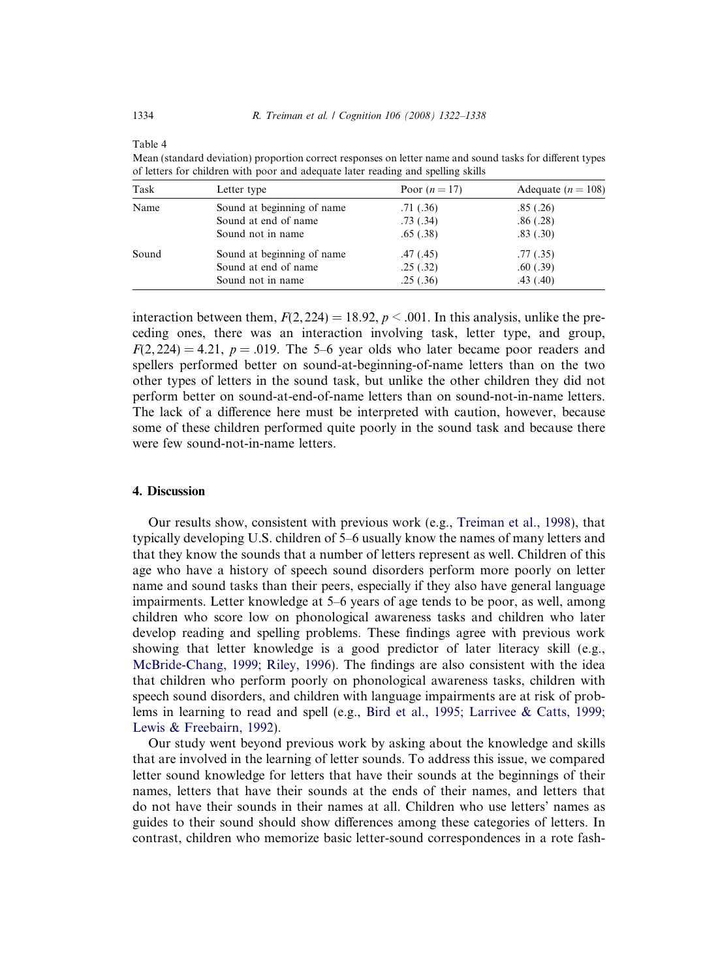| Mean (standard deviation) proportion correct responses on letter name and sound tasks for different types |
|-----------------------------------------------------------------------------------------------------------|
| of letters for children with poor and adequate later reading and spelling skills                          |

| Task  | Letter type                                                             | Poor $(n = 17)$        | Adequate $(n = 108)$  |  |
|-------|-------------------------------------------------------------------------|------------------------|-----------------------|--|
| Name  | Sound at beginning of name<br>Sound at end of name<br>Sound not in name | .71(0.36)<br>.73(0.34) | .85(.26)<br>.86(.28)  |  |
| Sound | Sound at beginning of name                                              | .65(.38)<br>.47(0.45)  | .83(.30)<br>.77(0.35) |  |
|       | Sound at end of name<br>Sound not in name                               | .25(.32)<br>.25(.36)   | .60(.39)<br>.43(.40)  |  |

interaction between them,  $F(2, 224) = 18.92$ ,  $p < .001$ . In this analysis, unlike the preceding ones, there was an interaction involving task, letter type, and group,  $F(2, 224) = 4.21$ ,  $p = .019$ . The 5–6 year olds who later became poor readers and spellers performed better on sound-at-beginning-of-name letters than on the two other types of letters in the sound task, but unlike the other children they did not perform better on sound-at-end-of-name letters than on sound-not-in-name letters. The lack of a difference here must be interpreted with caution, however, because some of these children performed quite poorly in the sound task and because there were few sound-not-in-name letters.

## 4. Discussion

Our results show, consistent with previous work (e.g., [Treiman et al., 1998\)](#page-16-0), that typically developing U.S. children of 5–6 usually know the names of many letters and that they know the sounds that a number of letters represent as well. Children of this age who have a history of speech sound disorders perform more poorly on letter name and sound tasks than their peers, especially if they also have general language impairments. Letter knowledge at 5–6 years of age tends to be poor, as well, among children who score low on phonological awareness tasks and children who later develop reading and spelling problems. These findings agree with previous work showing that letter knowledge is a good predictor of later literacy skill (e.g., [McBride-Chang, 1999; Riley, 1996](#page-15-0)). The findings are also consistent with the idea that children who perform poorly on phonological awareness tasks, children with speech sound disorders, and children with language impairments are at risk of problems in learning to read and spell (e.g., [Bird et al., 1995; Larrivee & Catts, 1999;](#page-14-0) [Lewis & Freebairn, 1992](#page-14-0)).

Our study went beyond previous work by asking about the knowledge and skills that are involved in the learning of letter sounds. To address this issue, we compared letter sound knowledge for letters that have their sounds at the beginnings of their names, letters that have their sounds at the ends of their names, and letters that do not have their sounds in their names at all. Children who use letters' names as guides to their sound should show differences among these categories of letters. In contrast, children who memorize basic letter-sound correspondences in a rote fash-

<span id="page-12-0"></span>Table 4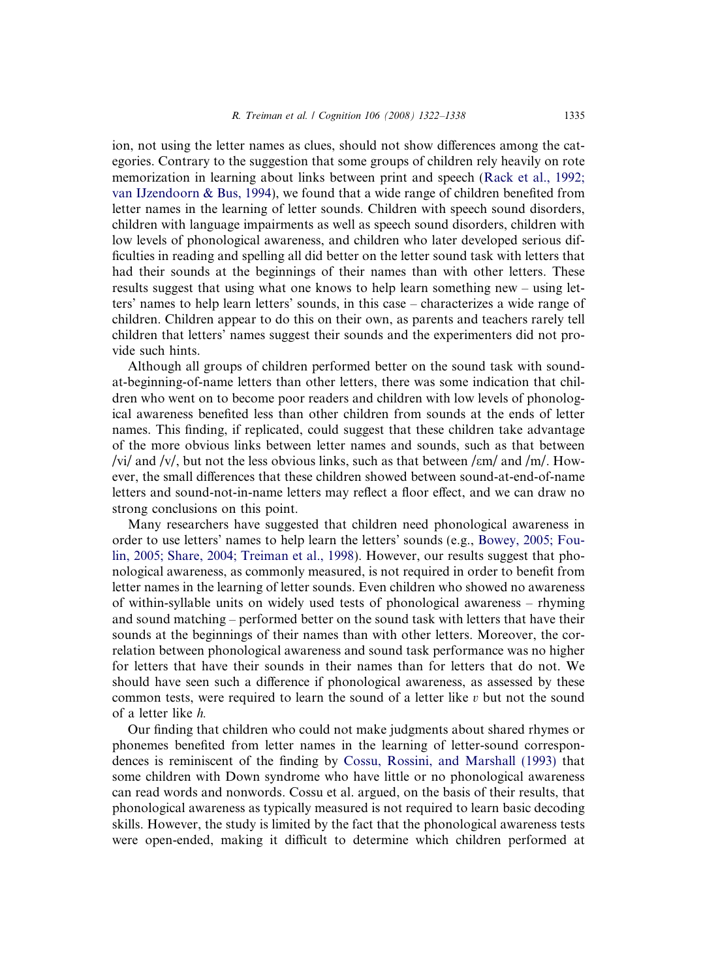ion, not using the letter names as clues, should not show differences among the categories. Contrary to the suggestion that some groups of children rely heavily on rote memorization in learning about links between print and speech ([Rack et al., 1992;](#page-15-0) [van IJzendoorn & Bus, 1994\)](#page-15-0), we found that a wide range of children benefited from letter names in the learning of letter sounds. Children with speech sound disorders, children with language impairments as well as speech sound disorders, children with low levels of phonological awareness, and children who later developed serious difficulties in reading and spelling all did better on the letter sound task with letters that had their sounds at the beginnings of their names than with other letters. These results suggest that using what one knows to help learn something new – using letters' names to help learn letters' sounds, in this case – characterizes a wide range of children. Children appear to do this on their own, as parents and teachers rarely tell children that letters' names suggest their sounds and the experimenters did not provide such hints.

Although all groups of children performed better on the sound task with soundat-beginning-of-name letters than other letters, there was some indication that children who went on to become poor readers and children with low levels of phonological awareness benefited less than other children from sounds at the ends of letter names. This finding, if replicated, could suggest that these children take advantage of the more obvious links between letter names and sounds, such as that between /vi/ and /v/, but not the less obvious links, such as that between /em/ and /m/. However, the small differences that these children showed between sound-at-end-of-name letters and sound-not-in-name letters may reflect a floor effect, and we can draw no strong conclusions on this point.

Many researchers have suggested that children need phonological awareness in order to use letters' names to help learn the letters' sounds (e.g., [Bowey, 2005; Fou](#page-15-0)[lin, 2005; Share, 2004; Treiman et al., 1998\)](#page-15-0). However, our results suggest that phonological awareness, as commonly measured, is not required in order to benefit from letter names in the learning of letter sounds. Even children who showed no awareness of within-syllable units on widely used tests of phonological awareness – rhyming and sound matching – performed better on the sound task with letters that have their sounds at the beginnings of their names than with other letters. Moreover, the correlation between phonological awareness and sound task performance was no higher for letters that have their sounds in their names than for letters that do not. We should have seen such a difference if phonological awareness, as assessed by these common tests, were required to learn the sound of a letter like v but not the sound of a letter like h.

Our finding that children who could not make judgments about shared rhymes or phonemes benefited from letter names in the learning of letter-sound correspondences is reminiscent of the finding by [Cossu, Rossini, and Marshall \(1993\)](#page-15-0) that some children with Down syndrome who have little or no phonological awareness can read words and nonwords. Cossu et al. argued, on the basis of their results, that phonological awareness as typically measured is not required to learn basic decoding skills. However, the study is limited by the fact that the phonological awareness tests were open-ended, making it difficult to determine which children performed at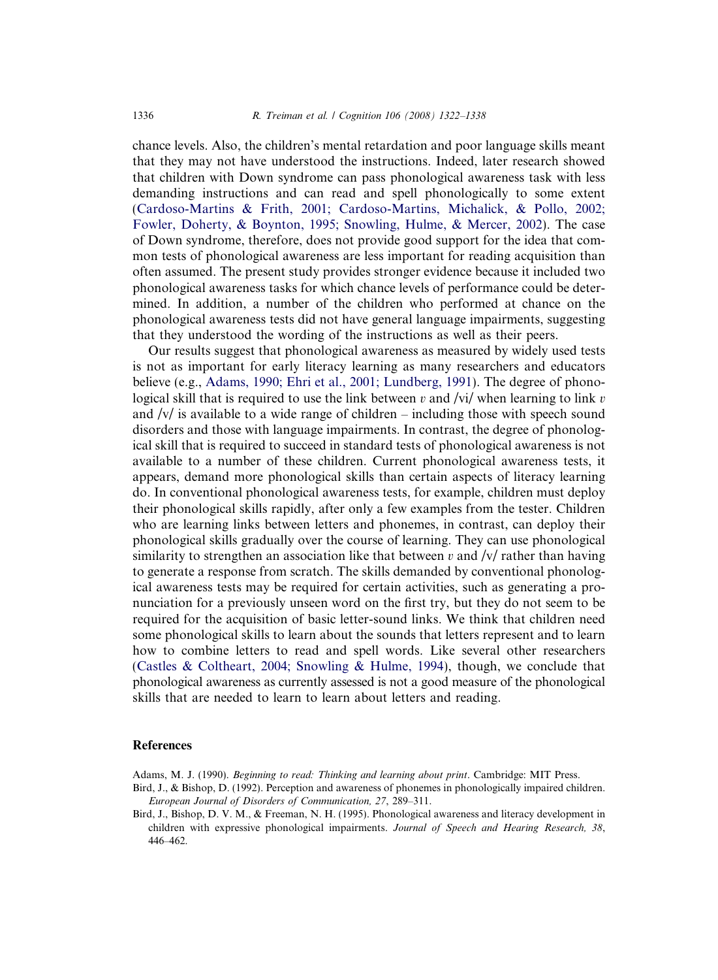<span id="page-14-0"></span>chance levels. Also, the children's mental retardation and poor language skills meant that they may not have understood the instructions. Indeed, later research showed that children with Down syndrome can pass phonological awareness task with less demanding instructions and can read and spell phonologically to some extent ([Cardoso-Martins & Frith, 2001; Cardoso-Martins, Michalick, & Pollo, 2002;](#page-15-0) [Fowler, Doherty, & Boynton, 1995; Snowling, Hulme, & Mercer, 2002](#page-15-0)). The case of Down syndrome, therefore, does not provide good support for the idea that common tests of phonological awareness are less important for reading acquisition than often assumed. The present study provides stronger evidence because it included two phonological awareness tasks for which chance levels of performance could be determined. In addition, a number of the children who performed at chance on the phonological awareness tests did not have general language impairments, suggesting that they understood the wording of the instructions as well as their peers.

Our results suggest that phonological awareness as measured by widely used tests is not as important for early literacy learning as many researchers and educators believe (e.g., Adams, 1990; Ehri et al., 2001; Lundberg, 1991). The degree of phonological skill that is required to use the link between v and /vi/ when learning to link v and  $\sqrt{v}$  is available to a wide range of children – including those with speech sound disorders and those with language impairments. In contrast, the degree of phonological skill that is required to succeed in standard tests of phonological awareness is not available to a number of these children. Current phonological awareness tests, it appears, demand more phonological skills than certain aspects of literacy learning do. In conventional phonological awareness tests, for example, children must deploy their phonological skills rapidly, after only a few examples from the tester. Children who are learning links between letters and phonemes, in contrast, can deploy their phonological skills gradually over the course of learning. They can use phonological similarity to strengthen an association like that between v and  $\sqrt{\nu}$  rather than having to generate a response from scratch. The skills demanded by conventional phonological awareness tests may be required for certain activities, such as generating a pronunciation for a previously unseen word on the first try, but they do not seem to be required for the acquisition of basic letter-sound links. We think that children need some phonological skills to learn about the sounds that letters represent and to learn how to combine letters to read and spell words. Like several other researchers ([Castles & Coltheart, 2004; Snowling & Hulme, 1994\)](#page-15-0), though, we conclude that phonological awareness as currently assessed is not a good measure of the phonological skills that are needed to learn to learn about letters and reading.

#### **References**

Adams, M. J. (1990). *Beginning to read: Thinking and learning about print*. Cambridge: MIT Press.

- Bird, J., & Bishop, D. (1992). Perception and awareness of phonemes in phonologically impaired children. European Journal of Disorders of Communication, 27, 289–311.
- Bird, J., Bishop, D. V. M., & Freeman, N. H. (1995). Phonological awareness and literacy development in children with expressive phonological impairments. Journal of Speech and Hearing Research, 38, 446–462.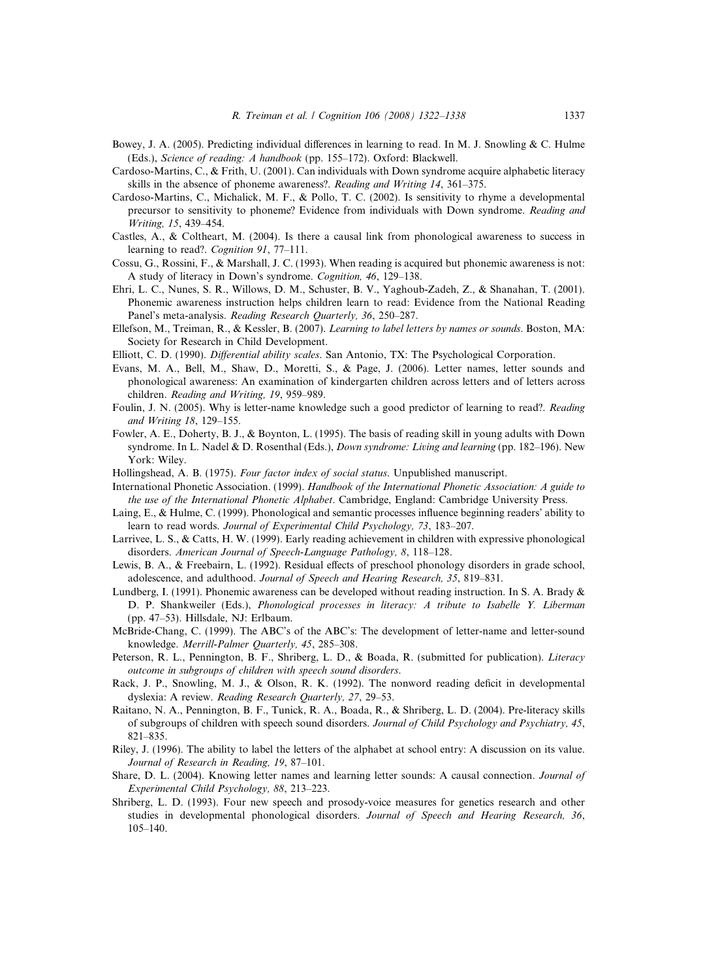- <span id="page-15-0"></span>Bowey, J. A. (2005). Predicting individual differences in learning to read. In M. J. Snowling & C. Hulme (Eds.), Science of reading: A handbook (pp. 155–172). Oxford: Blackwell.
- Cardoso-Martins, C., & Frith, U. (2001). Can individuals with Down syndrome acquire alphabetic literacy skills in the absence of phoneme awareness?. Reading and Writing 14, 361–375.
- Cardoso-Martins, C., Michalick, M. F., & Pollo, T. C. (2002). Is sensitivity to rhyme a developmental precursor to sensitivity to phoneme? Evidence from individuals with Down syndrome. Reading and Writing, 15, 439–454.
- Castles, A., & Coltheart, M. (2004). Is there a causal link from phonological awareness to success in learning to read?. Cognition 91, 77–111.
- Cossu, G., Rossini, F., & Marshall, J. C. (1993). When reading is acquired but phonemic awareness is not: A study of literacy in Down's syndrome. Cognition, 46, 129–138.
- Ehri, L. C., Nunes, S. R., Willows, D. M., Schuster, B. V., Yaghoub-Zadeh, Z., & Shanahan, T. (2001). Phonemic awareness instruction helps children learn to read: Evidence from the National Reading Panel's meta-analysis. Reading Research Quarterly, 36, 250–287.
- Ellefson, M., Treiman, R., & Kessler, B. (2007). Learning to label letters by names or sounds. Boston, MA: Society for Research in Child Development.
- Elliott, C. D. (1990). Differential ability scales. San Antonio, TX: The Psychological Corporation.
- Evans, M. A., Bell, M., Shaw, D., Moretti, S., & Page, J. (2006). Letter names, letter sounds and phonological awareness: An examination of kindergarten children across letters and of letters across children. Reading and Writing, 19, 959–989.
- Foulin, J. N. (2005). Why is letter-name knowledge such a good predictor of learning to read?. Reading and Writing 18, 129–155.
- Fowler, A. E., Doherty, B. J., & Boynton, L. (1995). The basis of reading skill in young adults with Down syndrome. In L. Nadel & D. Rosenthal (Eds.), *Down syndrome: Living and learning* (pp. 182–196). New York: Wiley.
- Hollingshead, A. B. (1975). Four factor index of social status. Unpublished manuscript.
- International Phonetic Association. (1999). Handbook of the International Phonetic Association: A guide to the use of the International Phonetic Alphabet. Cambridge, England: Cambridge University Press.
- Laing, E., & Hulme, C. (1999). Phonological and semantic processes influence beginning readers' ability to learn to read words. Journal of Experimental Child Psychology, 73, 183–207.
- Larrivee, L. S., & Catts, H. W. (1999). Early reading achievement in children with expressive phonological disorders. American Journal of Speech-Language Pathology, 8, 118–128.
- Lewis, B. A., & Freebairn, L. (1992). Residual effects of preschool phonology disorders in grade school, adolescence, and adulthood. Journal of Speech and Hearing Research, 35, 819–831.
- Lundberg, I. (1991). Phonemic awareness can be developed without reading instruction. In S. A. Brady  $\&$ D. P. Shankweiler (Eds.), Phonological processes in literacy: A tribute to Isabelle Y. Liberman (pp. 47–53). Hillsdale, NJ: Erlbaum.
- McBride-Chang, C. (1999). The ABC's of the ABC's: The development of letter-name and letter-sound knowledge. Merrill-Palmer Quarterly, 45, 285–308.
- Peterson, R. L., Pennington, B. F., Shriberg, L. D., & Boada, R. (submitted for publication). Literacy outcome in subgroups of children with speech sound disorders.
- Rack, J. P., Snowling, M. J., & Olson, R. K. (1992). The nonword reading deficit in developmental dyslexia: A review. Reading Research Quarterly, 27, 29–53.
- Raitano, N. A., Pennington, B. F., Tunick, R. A., Boada, R., & Shriberg, L. D. (2004). Pre-literacy skills of subgroups of children with speech sound disorders. Journal of Child Psychology and Psychiatry, 45, 821–835.
- Riley, J. (1996). The ability to label the letters of the alphabet at school entry: A discussion on its value. Journal of Research in Reading, 19, 87–101.
- Share, D. L. (2004). Knowing letter names and learning letter sounds: A causal connection. Journal of Experimental Child Psychology, 88, 213–223.
- Shriberg, L. D. (1993). Four new speech and prosody-voice measures for genetics research and other studies in developmental phonological disorders. Journal of Speech and Hearing Research, 36, 105–140.